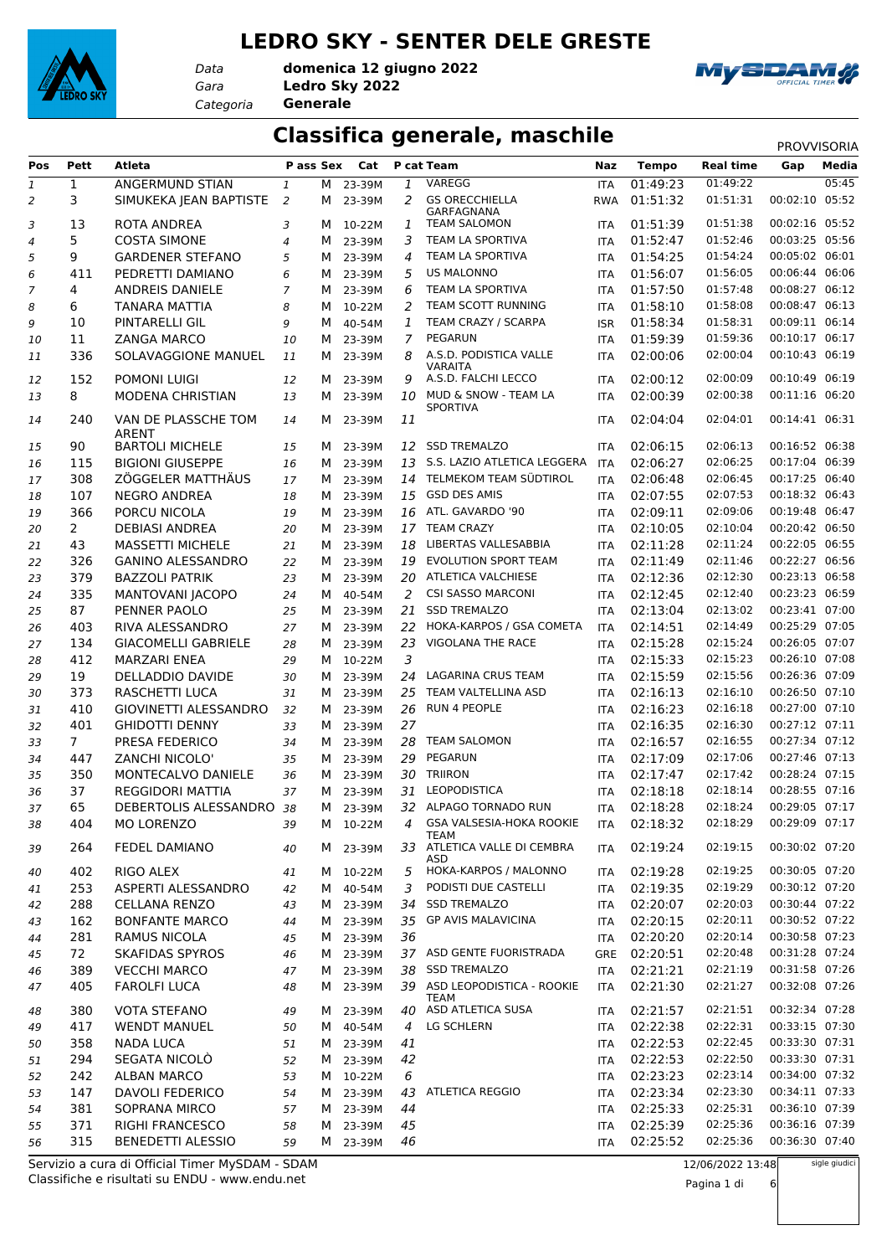#### **LEDRO SKY - SENTER DELE GRESTE**



*Data*

*Gara* **Ledro Sky 2022** *Categoria* **Generale domenica 12 giugno 2022**



#### **Classifica generale, maschile** PROVVISORIA

| Pos            | Pett           | <b>Atleta</b>                                   | P ass Sex      |   | Cat                |                | P cat Team                            | Naz        | <b>Tempo</b> | <b>Real time</b> | Gap            | Media         |
|----------------|----------------|-------------------------------------------------|----------------|---|--------------------|----------------|---------------------------------------|------------|--------------|------------------|----------------|---------------|
| $\mathbf{1}$   | $\mathbf{1}$   | <b>ANGERMUND STIAN</b>                          | $\mathbf{1}$   |   | M 23-39M           | 1              | VAREGG                                | <b>ITA</b> | 01:49:23     | 01:49:22         |                | 05:45         |
| 2              | 3              | SIMUKEKA JEAN BAPTISTE                          | 2              | M | 23-39M             | 2              | <b>GS ORECCHIELLA</b><br>GARFAGNANA   | <b>RWA</b> | 01:51:32     | 01:51:31         | 00:02:10       | 05:52         |
| 3              | 13             | ROTA ANDREA                                     | 3              | м | 10-22M             | 1              | <b>TEAM SALOMON</b>                   | <b>ITA</b> | 01:51:39     | 01:51:38         | 00:02:16 05:52 |               |
| 4              | 5              | <b>COSTA SIMONE</b>                             | $\overline{4}$ | м | 23-39M             | 3              | TEAM LA SPORTIVA                      | <b>ITA</b> | 01:52:47     | 01:52:46         | 00:03:25 05:56 |               |
| 5              | 9              | <b>GARDENER STEFANO</b>                         | 5              | м | 23-39M             | 4              | TEAM LA SPORTIVA                      | <b>ITA</b> | 01:54:25     | 01:54:24         | 00:05:02 06:01 |               |
| 6              | 411            | PEDRETTI DAMIANO                                | 6              | м | 23-39M             | 5              | <b>US MALONNO</b>                     | <b>ITA</b> | 01:56:07     | 01:56:05         | 00:06:44 06:06 |               |
| $\overline{7}$ | 4              | ANDREIS DANIELE                                 | $\overline{7}$ | м | 23-39M             | 6              | TEAM LA SPORTIVA                      | <b>ITA</b> | 01:57:50     | 01:57:48         | 00:08:27 06:12 |               |
| 8              | 6              | <b>TANARA MATTIA</b>                            | 8              | м | 10-22M             | 2              | TEAM SCOTT RUNNING                    | <b>ITA</b> | 01:58:10     | 01:58:08         | 00:08:47 06:13 |               |
| 9              | 10             | PINTARELLI GIL                                  | 9              | м | 40-54M             | 1              | TEAM CRAZY / SCARPA                   | <b>ISR</b> | 01:58:34     | 01:58:31         | 00:09:11 06:14 |               |
| 10             | 11             | <b>ZANGA MARCO</b>                              | 10             | м | 23-39M             | $\overline{7}$ | PEGARUN                               | <b>ITA</b> | 01:59:39     | 01:59:36         | 00:10:17 06:17 |               |
| 11             | 336            | SOLAVAGGIONE MANUEL                             | 11             | М | 23-39M             | 8              | A.S.D. PODISTICA VALLE                | <b>ITA</b> | 02:00:06     | 02:00:04         | 00:10:43       | 06:19         |
| 12             | 152            | POMONI LUIGI                                    | 12             | M | 23-39M             | 9              | <b>VARAITA</b><br>A.S.D. FALCHI LECCO | <b>ITA</b> | 02:00:12     | 02:00:09         | 00:10:49 06:19 |               |
| 13             | 8              | <b>MODENA CHRISTIAN</b>                         | 13             | M | 23-39M             | 10             | MUD & SNOW - TEAM LA                  | <b>ITA</b> | 02:00:39     | 02:00:38         | 00:11:16 06:20 |               |
|                |                |                                                 |                |   |                    |                | <b>SPORTIVA</b>                       |            |              |                  |                |               |
| 14             | 240            | VAN DE PLASSCHE TOM<br><b>ARENT</b>             | 14             | м | 23-39M             | 11             |                                       | <b>ITA</b> | 02:04:04     | 02:04:01         | 00:14:41 06:31 |               |
| 15             | 90             | <b>BARTOLI MICHELE</b>                          | 15             | M | 23-39M             | 12             | <b>SSD TREMALZO</b>                   | <b>ITA</b> | 02:06:15     | 02:06:13         | 00:16:52 06:38 |               |
| 16             | 115            | <b>BIGIONI GIUSEPPE</b>                         | 16             | M | 23-39M             | 13             | S.S. LAZIO ATLETICA LEGGERA           | <b>ITA</b> | 02:06:27     | 02:06:25         | 00:17:04 06:39 |               |
| 17             | 308            | ZÖGGELER MATTHÄUS                               | 17             | М | 23-39M             | 14             | TELMEKOM TEAM SÜDTIROL                | <b>ITA</b> | 02:06:48     | 02:06:45         | 00:17:25 06:40 |               |
| 18             | 107            | <b>NEGRO ANDREA</b>                             | 18             | M | 23-39M             | 15             | <b>GSD DES AMIS</b>                   | <b>ITA</b> | 02:07:55     | 02:07:53         | 00:18:32 06:43 |               |
| 19             | 366            | PORCU NICOLA                                    | 19             | M | 23-39M             | 16             | ATL. GAVARDO '90                      | <b>ITA</b> | 02:09:11     | 02:09:06         | 00:19:48 06:47 |               |
| 20             | $\overline{2}$ | <b>DEBIASI ANDREA</b>                           | 20             | м | 23-39M             | 17             | <b>TEAM CRAZY</b>                     | <b>ITA</b> | 02:10:05     | 02:10:04         | 00:20:42 06:50 |               |
| 21             | 43             | <b>MASSETTI MICHELE</b>                         | 21             | м | 23-39M             | 18             | LIBERTAS VALLESABBIA                  | <b>ITA</b> | 02:11:28     | 02:11:24         | 00:22:05 06:55 |               |
| 22             | 326            | <b>GANINO ALESSANDRO</b>                        | 22             | М | 23-39M             | 19             | EVOLUTION SPORT TEAM                  | <b>ITA</b> | 02:11:49     | 02:11:46         | 00:22:27 06:56 |               |
| 23             | 379            | <b>BAZZOLI PATRIK</b>                           | 23             | М | 23-39M             | 20             | <b>ATLETICA VALCHIESE</b>             | <b>ITA</b> | 02:12:36     | 02:12:30         | 00:23:13 06:58 |               |
| 24             | 335            | MANTOVANI JACOPO                                | 24             | M | 40-54M             | 2              | <b>CSI SASSO MARCONI</b>              | <b>ITA</b> | 02:12:45     | 02:12:40         | 00:23:23 06:59 |               |
| 25             | 87             | PENNER PAOLO                                    | 25             | M | 23-39M             | 21             | <b>SSD TREMALZO</b>                   | <b>ITA</b> | 02:13:04     | 02:13:02         | 00:23:41 07:00 |               |
| 26             | 403            | RIVA ALESSANDRO                                 | 27             | м | 23-39M             | 22             | HOKA-KARPOS / GSA COMETA              | <b>ITA</b> | 02:14:51     | 02:14:49         | 00:25:29 07:05 |               |
| 27             | 134            | <b>GIACOMELLI GABRIELE</b>                      | 28             | м | 23-39M             | 23             | VIGOLANA THE RACE                     | <b>ITA</b> | 02:15:28     | 02:15:24         | 00:26:05 07:07 |               |
| 28             | 412            | <b>MARZARI ENEA</b>                             | 29             |   | M 10-22M           | 3              |                                       | <b>ITA</b> | 02:15:33     | 02:15:23         | 00:26:10 07:08 |               |
| 29             | 19             | <b>DELLADDIO DAVIDE</b>                         | 30             | М | 23-39M             | 24             | LAGARINA CRUS TEAM                    | <b>ITA</b> | 02:15:59     | 02:15:56         | 00:26:36 07:09 |               |
| 30             | 373            | <b>RASCHETTI LUCA</b>                           | 31             | M | 23-39M             | 25             | TEAM VALTELLINA ASD                   | <b>ITA</b> | 02:16:13     | 02:16:10         | 00:26:50 07:10 |               |
| 31             | 410            | GIOVINETTI ALESSANDRO                           | 32             | M | 23-39M             | 26             | <b>RUN 4 PEOPLE</b>                   | <b>ITA</b> | 02:16:23     | 02:16:18         | 00:27:00 07:10 |               |
| 32             | 401            | <b>GHIDOTTI DENNY</b>                           | 33             | М | 23-39M             | 27             |                                       | <b>ITA</b> | 02:16:35     | 02:16:30         | 00:27:12 07:11 |               |
| 33             | $\overline{7}$ | PRESA FEDERICO                                  | 34             | M | 23-39M             | 28             | <b>TEAM SALOMON</b>                   | <b>ITA</b> | 02:16:57     | 02:16:55         | 00:27:34 07:12 |               |
| 34             | 447            | <b>ZANCHI NICOLO'</b>                           | 35             | M | 23-39M             | 29             | PEGARUN                               | <b>ITA</b> | 02:17:09     | 02:17:06         | 00:27:46 07:13 |               |
| 35             | 350            | MONTECALVO DANIELE                              | 36             | M | 23-39M             | 30             | <b>TRIIRON</b>                        | <b>ITA</b> | 02:17:47     | 02:17:42         | 00:28:24 07:15 |               |
| 36             | 37             | <b>REGGIDORI MATTIA</b>                         | 37             | M | 23-39M             | 31             | <b>LEOPODISTICA</b>                   | <b>ITA</b> | 02:18:18     | 02:18:14         | 00:28:55 07:16 |               |
| 37             | 65             | DEBERTOLIS ALESSANDRO 38                        |                |   | M 23-39M           |                | 32 ALPAGO TORNADO RUN                 | <b>ITA</b> | 02:18:28     | 02:18:24         | 00:29:05 07:17 |               |
|                |                | MO LORENZO                                      |                | М |                    |                | GSA VALSESIA-HOKA ROOKIE              |            | 02:18:32     | 02:18:29         | 00:29:09 07:17 |               |
| 38<br>39       | 404<br>264     | <b>FEDEL DAMIANO</b>                            | 39<br>40       |   | 10-22M<br>M 23-39M |                | TEAM<br>33 ATLETICA VALLE DI CEMBRA   | ITA<br>ITA | 02:19:24     | 02:19:15         | 00:30:02 07:20 |               |
|                |                |                                                 |                |   |                    |                | ASD                                   |            |              |                  |                |               |
| 40             | 402            | RIGO ALEX                                       | 41             |   | M 10-22M           | 5              | HOKA-KARPOS / MALONNO                 | <b>ITA</b> | 02:19:28     | 02:19:25         | 00:30:05 07:20 |               |
| 41             | 253            | ASPERTI ALESSANDRO                              | 42             |   | M 40-54M           | 3              | PODISTI DUE CASTELLI                  | <b>ITA</b> | 02:19:35     | 02:19:29         | 00:30:12 07:20 |               |
| 42             | 288            | <b>CELLANA RENZO</b>                            | 43             |   | M 23-39M           |                | 34 SSD TREMALZO                       | <b>ITA</b> | 02:20:07     | 02:20:03         | 00:30:44 07:22 |               |
| 43             | 162            | <b>BONFANTE MARCO</b>                           | 44             |   | M 23-39M           |                | 35 GP AVIS MALAVICINA                 | <b>ITA</b> | 02:20:15     | 02:20:11         | 00:30:52 07:22 |               |
| 44             | 281            | RAMUS NICOLA                                    | 45             |   | M 23-39M           | 36             |                                       | <b>ITA</b> | 02:20:20     | 02:20:14         | 00:30:58 07:23 |               |
| 45             | 72             | <b>SKAFIDAS SPYROS</b>                          | 46             | M | 23-39M             |                | 37 ASD GENTE FUORISTRADA              | GRE        | 02:20:51     | 02:20:48         | 00:31:28 07:24 |               |
| 46             | 389            | <b>VECCHI MARCO</b>                             | 47             |   | M 23-39M           |                | 38 SSD TREMALZO                       | ITA        | 02:21:21     | 02:21:19         | 00:31:58 07:26 |               |
| 47             | 405            | <b>FAROLFI LUCA</b>                             | 48             |   | M 23-39M           |                | 39 ASD LEOPODISTICA - ROOKIE<br>TEAM  | <b>ITA</b> | 02:21:30     | 02:21:27         | 00:32:08 07:26 |               |
| 48             | 380            | <b>VOTA STEFANO</b>                             | 49             |   | M 23-39M           |                | 40 ASD ATLETICA SUSA                  | <b>ITA</b> | 02:21:57     | 02:21:51         | 00:32:34 07:28 |               |
| 49             | 417            | <b>WENDT MANUEL</b>                             | 50             |   | M 40-54M           | $\overline{4}$ | LG SCHLERN                            | <b>ITA</b> | 02:22:38     | 02:22:31         | 00:33:15 07:30 |               |
| 50             | 358            | <b>NADA LUCA</b>                                | 51             |   | M 23-39M           | 41             |                                       | <b>ITA</b> | 02:22:53     | 02:22:45         | 00:33:30 07:31 |               |
| 51             | 294            | SEGATA NICOLÒ                                   | 52             | M | 23-39M             | 42             |                                       | ITA        | 02:22:53     | 02:22:50         | 00:33:30 07:31 |               |
| 52             | 242            | <b>ALBAN MARCO</b>                              | 53             |   | M 10-22M           | 6              |                                       | <b>ITA</b> | 02:23:23     | 02:23:14         | 00:34:00 07:32 |               |
| 53             | 147            | DAVOLI FEDERICO                                 | 54             |   | M 23-39M           | 43             | <b>ATLETICA REGGIO</b>                | <b>ITA</b> | 02:23:34     | 02:23:30         | 00:34:11 07:33 |               |
| 54             | 381            | SOPRANA MIRCO                                   | 57             |   | M 23-39M           | 44             |                                       | <b>ITA</b> | 02:25:33     | 02:25:31         | 00:36:10 07:39 |               |
| 55             | 371            | <b>RIGHI FRANCESCO</b>                          | 58             | M | 23-39M             | 45             |                                       | <b>ITA</b> | 02:25:39     | 02:25:36         | 00:36:16 07:39 |               |
| 56             | 315            | <b>BENEDETTI ALESSIO</b>                        | 59             |   | M 23-39M           | 46             |                                       | ITA        | 02:25:52     | 02:25:36         | 00:36:30 07:40 |               |
|                |                | Servizio a cura di Official Timer MySDAM - SDAM |                |   |                    |                |                                       |            |              | 12/06/2022 13:48 |                | sigle giudici |

Classifiche e risultati su ENDU - www.endu.net Servizio a cura di Official Timer MySDAM - SDAM 12/06/2022 13:48

Pagina 1 di 6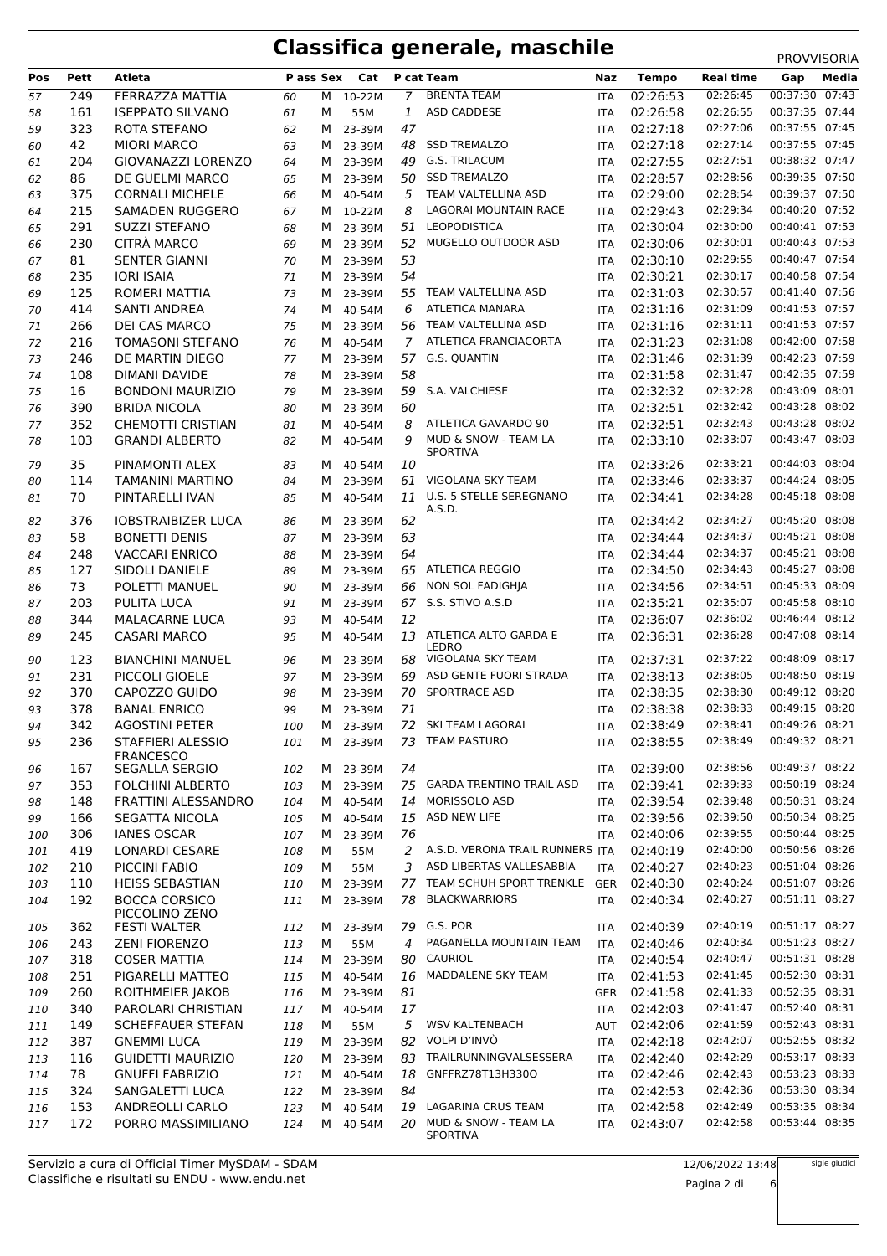| Pos | Pett | Atleta                    | P ass Sex |   | Cat      |                | P cat Team                                   | Naz                      | <b>Tempo</b> | <b>Real time</b> | Gap            | Media |
|-----|------|---------------------------|-----------|---|----------|----------------|----------------------------------------------|--------------------------|--------------|------------------|----------------|-------|
|     | 249  | FERRAZZA MATTIA           | 60        | M | 10-22M   | 7              | <b>BRENTA TEAM</b>                           | <b>ITA</b>               | 02:26:53     | 02:26:45         | 00:37:30 07:43 |       |
| 57  | 161  | <b>ISEPPATO SILVANO</b>   | 61        | М | 55M      | 1              | ASD CADDESE                                  | <b>ITA</b>               | 02:26:58     | 02:26:55         | 00:37:35 07:44 |       |
| 58  | 323  | ROTA STEFANO              |           | M | 23-39M   | 47             |                                              |                          | 02:27:18     | 02:27:06         | 00:37:55 07:45 |       |
| 59  | 42   | <b>MIORI MARCO</b>        | 62<br>63  | M | 23-39M   | 48             | <b>SSD TREMALZO</b>                          | <b>ITA</b><br><b>ITA</b> | 02:27:18     | 02:27:14         | 00:37:55 07:45 |       |
| 60  | 204  | GIOVANAZZI LORENZO        | 64        | М | 23-39M   | 49             | <b>G.S. TRILACUM</b>                         | <b>ITA</b>               | 02:27:55     | 02:27:51         | 00:38:32 07:47 |       |
| 61  |      |                           |           |   |          |                | <b>SSD TREMALZO</b>                          |                          |              | 02:28:56         | 00:39:35 07:50 |       |
| 62  | 86   | DE GUELMI MARCO           | 65        | м | 23-39M   | 50             |                                              | <b>ITA</b>               | 02:28:57     | 02:28:54         | 00:39:37 07:50 |       |
| 63  | 375  | <b>CORNALI MICHELE</b>    | 66        | M | 40-54M   | 5              | TEAM VALTELLINA ASD                          | <b>ITA</b>               | 02:29:00     |                  |                |       |
| 64  | 215  | <b>SAMADEN RUGGERO</b>    | 67        | м | 10-22M   | 8              | LAGORAI MOUNTAIN RACE<br><b>LEOPODISTICA</b> | <b>ITA</b>               | 02:29:43     | 02:29:34         | 00:40:20 07:52 |       |
| 65  | 291  | <b>SUZZI STEFANO</b>      | 68        | м | 23-39M   | 51             |                                              | <b>ITA</b>               | 02:30:04     | 02:30:00         | 00:40:41 07:53 |       |
| 66  | 230  | CITRÀ MARCO               | 69        | M | 23-39M   | 52             | MUGELLO OUTDOOR ASD                          | <b>ITA</b>               | 02:30:06     | 02:30:01         | 00:40:43 07:53 |       |
| 67  | 81   | <b>SENTER GIANNI</b>      | 70        | м | 23-39M   | 53             |                                              | <b>ITA</b>               | 02:30:10     | 02:29:55         | 00:40:47 07:54 |       |
| 68  | 235  | <b>IORI ISAIA</b>         | 71        | м | 23-39M   | 54             |                                              | <b>ITA</b>               | 02:30:21     | 02:30:17         | 00:40:58 07:54 |       |
| 69  | 125  | ROMERI MATTIA             | 73        | M | 23-39M   | 55             | TEAM VALTELLINA ASD                          | <b>ITA</b>               | 02:31:03     | 02:30:57         | 00:41:40 07:56 |       |
| 70  | 414  | SANTI ANDREA              | 74        | М | 40-54M   | 6              | <b>ATLETICA MANARA</b>                       | <b>ITA</b>               | 02:31:16     | 02:31:09         | 00:41:53 07:57 |       |
| 71  | 266  | DEI CAS MARCO             | 75        | м | 23-39M   | 56             | TEAM VALTELLINA ASD                          | <b>ITA</b>               | 02:31:16     | 02:31:11         | 00:41:53 07:57 |       |
| 72  | 216  | <b>TOMASONI STEFANO</b>   | 76        | M | 40-54M   | $\overline{7}$ | ATLETICA FRANCIACORTA                        | <b>ITA</b>               | 02:31:23     | 02:31:08         | 00:42:00 07:58 |       |
| 73  | 246  | DE MARTIN DIEGO           | 77        | М | 23-39M   |                | 57 G.S. QUANTIN                              | <b>ITA</b>               | 02:31:46     | 02:31:39         | 00:42:23 07:59 |       |
| 74  | 108  | <b>DIMANI DAVIDE</b>      | 78        | м | 23-39M   | 58             |                                              | <b>ITA</b>               | 02:31:58     | 02:31:47         | 00:42:35 07:59 |       |
| 75  | 16   | <b>BONDONI MAURIZIO</b>   | 79        | M | 23-39M   | 59             | S.A. VALCHIESE                               | <b>ITA</b>               | 02:32:32     | 02:32:28         | 00:43:09 08:01 |       |
| 76  | 390  | <b>BRIDA NICOLA</b>       | 80        | м | 23-39M   | 60             |                                              | <b>ITA</b>               | 02:32:51     | 02:32:42         | 00:43:28 08:02 |       |
| 77  | 352  | <b>CHEMOTTI CRISTIAN</b>  | 81        | м | 40-54M   | 8              | ATLETICA GAVARDO 90                          | <b>ITA</b>               | 02:32:51     | 02:32:43         | 00:43:28 08:02 |       |
| 78  | 103  | <b>GRANDI ALBERTO</b>     | 82        | м | 40-54M   | 9              | MUD & SNOW - TEAM LA<br><b>SPORTIVA</b>      | <b>ITA</b>               | 02:33:10     | 02:33:07         | 00:43:47 08:03 |       |
| 79  | 35   | PINAMONTI ALEX            | 83        | м | 40-54M   | 10             |                                              | <b>ITA</b>               | 02:33:26     | 02:33:21         | 00:44:03 08:04 |       |
| 80  | 114  | <b>TAMANINI MARTINO</b>   | 84        | М | 23-39M   | 61             | VIGOLANA SKY TEAM                            | <b>ITA</b>               | 02:33:46     | 02:33:37         | 00:44:24 08:05 |       |
| 81  | 70   | PINTARELLI IVAN           | 85        | м | 40-54M   | 11             | U.S. 5 STELLE SEREGNANO                      | <b>ITA</b>               | 02:34:41     | 02:34:28         | 00:45:18 08:08 |       |
|     |      |                           |           |   |          |                | A.S.D.                                       |                          |              |                  |                |       |
| 82  | 376  | <b>IOBSTRAIBIZER LUCA</b> | 86        | M | 23-39M   | 62             |                                              | <b>ITA</b>               | 02:34:42     | 02:34:27         | 00:45:20 08:08 |       |
| 83  | 58   | <b>BONETTI DENIS</b>      | 87        | M | 23-39M   | 63             |                                              | <b>ITA</b>               | 02:34:44     | 02:34:37         | 00:45:21 08:08 |       |
| 84  | 248  | <b>VACCARI ENRICO</b>     | 88        | м | 23-39M   | 64             |                                              | <b>ITA</b>               | 02:34:44     | 02:34:37         | 00:45:21 08:08 |       |
| 85  | 127  | <b>SIDOLI DANIELE</b>     | 89        | M | 23-39M   |                | 65 ATLETICA REGGIO                           | <b>ITA</b>               | 02:34:50     | 02:34:43         | 00:45:27 08:08 |       |
| 86  | 73   | POLETTI MANUEL            | 90        | м | 23-39M   | 66             | NON SOL FADIGHJA                             | <b>ITA</b>               | 02:34:56     | 02:34:51         | 00:45:33 08:09 |       |
| 87  | 203  | <b>PULITA LUCA</b>        | 91        | м | 23-39M   |                | 67 S.S. STIVO A.S.D                          | <b>ITA</b>               | 02:35:21     | 02:35:07         | 00:45:58 08:10 |       |
| 88  | 344  | <b>MALACARNE LUCA</b>     | 93        | м | 40-54M   | 12             |                                              | <b>ITA</b>               | 02:36:07     | 02:36:02         | 00:46:44 08:12 |       |
| 89  | 245  | <b>CASARI MARCO</b>       | 95        | м | 40-54M   | 13             | ATLETICA ALTO GARDA E                        | <b>ITA</b>               | 02:36:31     | 02:36:28         | 00:47:08 08:14 |       |
| 90  | 123  | <b>BIANCHINI MANUEL</b>   | 96        | M | 23-39M   | 68             | LEDRO<br>VIGOLANA SKY TEAM                   | <b>ITA</b>               | 02:37:31     | 02:37:22         | 00:48:09 08:17 |       |
| 91  | 231  | PICCOLI GIOELE            | 97        | М | 23-39M   | 69             | ASD GENTE FUORI STRADA                       | <b>ITA</b>               | 02:38:13     | 02:38:05         | 00:48:50 08:19 |       |
| 92  | 370  | CAPOZZO GUIDO             | 98        | м | 23-39M   | 70             | <b>SPORTRACE ASD</b>                         | <b>ITA</b>               | 02:38:35     | 02:38:30         | 00:49:12 08:20 |       |
| 93  | 378  | <b>BANAL ENRICO</b>       | 99        | м | 23-39M   | 71             |                                              | <b>ITA</b>               | 02:38:38     | 02:38:33         | 00:49:15 08:20 |       |
| 94  | 342  | <b>AGOSTINI PETER</b>     | 100       | м | 23-39M   | 72             | SKI TEAM LAGORAI                             | <b>ITA</b>               | 02:38:49     | 02:38:41         | 00:49:26 08:21 |       |
| 95  | 236  | STAFFIERI ALESSIO         | 101       |   | M 23-39M |                | 73 TEAM PASTURO                              | ITA                      | 02:38:55     | 02:38:49         | 00:49:32 08:21 |       |
|     |      | <b>FRANCESCO</b>          |           |   |          |                |                                              |                          |              |                  |                |       |
| 96  | 167  | SEGALLA SERGIO            | 102       | M | 23-39M   | 74             |                                              | ITA                      | 02:39:00     | 02:38:56         | 00:49:37 08:22 |       |
| 97  | 353  | <b>FOLCHINI ALBERTO</b>   | 103       | M | 23-39M   | 75             | <b>GARDA TRENTINO TRAIL ASD</b>              | ITA                      | 02:39:41     | 02:39:33         | 00:50:19 08:24 |       |
| 98  | 148  | FRATTINI ALESSANDRO       | 104       | M | 40-54M   | 14             | MORISSOLO ASD                                | <b>ITA</b>               | 02:39:54     | 02:39:48         | 00:50:31 08:24 |       |
| 99  | 166  | SEGATTA NICOLA            | 105       | M | 40-54M   | 15             | ASD NEW LIFE                                 | ITA                      | 02:39:56     | 02:39:50         | 00:50:34 08:25 |       |
| 100 | 306  | <b>IANES OSCAR</b>        | 107       | M | 23-39M   | 76             |                                              | <b>ITA</b>               | 02:40:06     | 02:39:55         | 00:50:44 08:25 |       |
| 101 | 419  | LONARDI CESARE            | 108       | м | 55M      | 2              | A.S.D. VERONA TRAIL RUNNERS ITA              |                          | 02:40:19     | 02:40:00         | 00:50:56 08:26 |       |
| 102 | 210  | PICCINI FABIO             | 109       | м | 55M      | 3              | ASD LIBERTAS VALLESABBIA                     | <b>ITA</b>               | 02:40:27     | 02:40:23         | 00:51:04 08:26 |       |
| 103 | 110  | <b>HEISS SEBASTIAN</b>    | 110       | M | 23-39M   |                | 77 TEAM SCHUH SPORT TRENKLE                  | GER                      | 02:40:30     | 02:40:24         | 00:51:07 08:26 |       |
| 104 | 192  | <b>BOCCA CORSICO</b>      | 111       | м | 23-39M   | 78             | <b>BLACKWARRIORS</b>                         | <b>ITA</b>               | 02:40:34     | 02:40:27         | 00:51:11 08:27 |       |
|     |      | PICCOLINO ZENO            |           |   |          |                |                                              |                          |              |                  |                |       |
| 105 | 362  | <b>FESTI WALTER</b>       | 112       | M | 23-39M   |                | 79 G.S. POR                                  | ITA                      | 02:40:39     | 02:40:19         | 00:51:17 08:27 |       |
| 106 | 243  | <b>ZENI FIORENZO</b>      | 113       | м | 55M      | 4              | PAGANELLA MOUNTAIN TEAM                      | ITA                      | 02:40:46     | 02:40:34         | 00:51:23 08:27 |       |
| 107 | 318  | <b>COSER MATTIA</b>       | 114       | M | 23-39M   | 80             | CAURIOL                                      | <b>ITA</b>               | 02:40:54     | 02:40:47         | 00:51:31 08:28 |       |
| 108 | 251  | PIGARELLI MATTEO          | 115       | M | 40-54M   | 16             | MADDALENE SKY TEAM                           | <b>ITA</b>               | 02:41:53     | 02:41:45         | 00:52:30 08:31 |       |
| 109 | 260  | ROITHMEIER JAKOB          | 116       | M | 23-39M   | 81             |                                              | GER                      | 02:41:58     | 02:41:33         | 00:52:35 08:31 |       |
| 110 | 340  | PAROLARI CHRISTIAN        | 117       | M | 40-54M   | 17             |                                              | <b>ITA</b>               | 02:42:03     | 02:41:47         | 00:52:40 08:31 |       |
| 111 | 149  | <b>SCHEFFAUER STEFAN</b>  | 118       | м | 55M      | 5              | <b>WSV KALTENBACH</b>                        | <b>AUT</b>               | 02:42:06     | 02:41:59         | 00:52:43 08:31 |       |
| 112 | 387  | <b>GNEMMI LUCA</b>        | 119       | M | 23-39M   |                | 82 VOLPI D'INVÒ                              | <b>ITA</b>               | 02:42:18     | 02:42:07         | 00:52:55 08:32 |       |
| 113 | 116  | <b>GUIDETTI MAURIZIO</b>  | 120       | M | 23-39M   | 83             | TRAILRUNNINGVALSESSERA                       | ITA                      | 02:42:40     | 02:42:29         | 00:53:17 08:33 |       |
| 114 | 78   | <b>GNUFFI FABRIZIO</b>    | 121       | м | 40-54M   | 18             | GNFFRZ78T13H330O                             | <b>ITA</b>               | 02:42:46     | 02:42:43         | 00:53:23 08:33 |       |
| 115 | 324  | SANGALETTI LUCA           | 122       | M | 23-39M   | 84             |                                              | <b>ITA</b>               | 02:42:53     | 02:42:36         | 00:53:30 08:34 |       |
| 116 | 153  | ANDREOLLI CARLO           | 123       | M | 40-54M   | 19             | LAGARINA CRUS TEAM                           | <b>ITA</b>               | 02:42:58     | 02:42:49         | 00:53:35 08:34 |       |
| 117 | 172  | PORRO MASSIMILIANO        | 124       | M | 40-54M   | 20             | MUD & SNOW - TEAM LA<br>SPORTIVA             | <b>ITA</b>               | 02:43:07     | 02:42:58         | 00:53:44 08:35 |       |

sigle giudici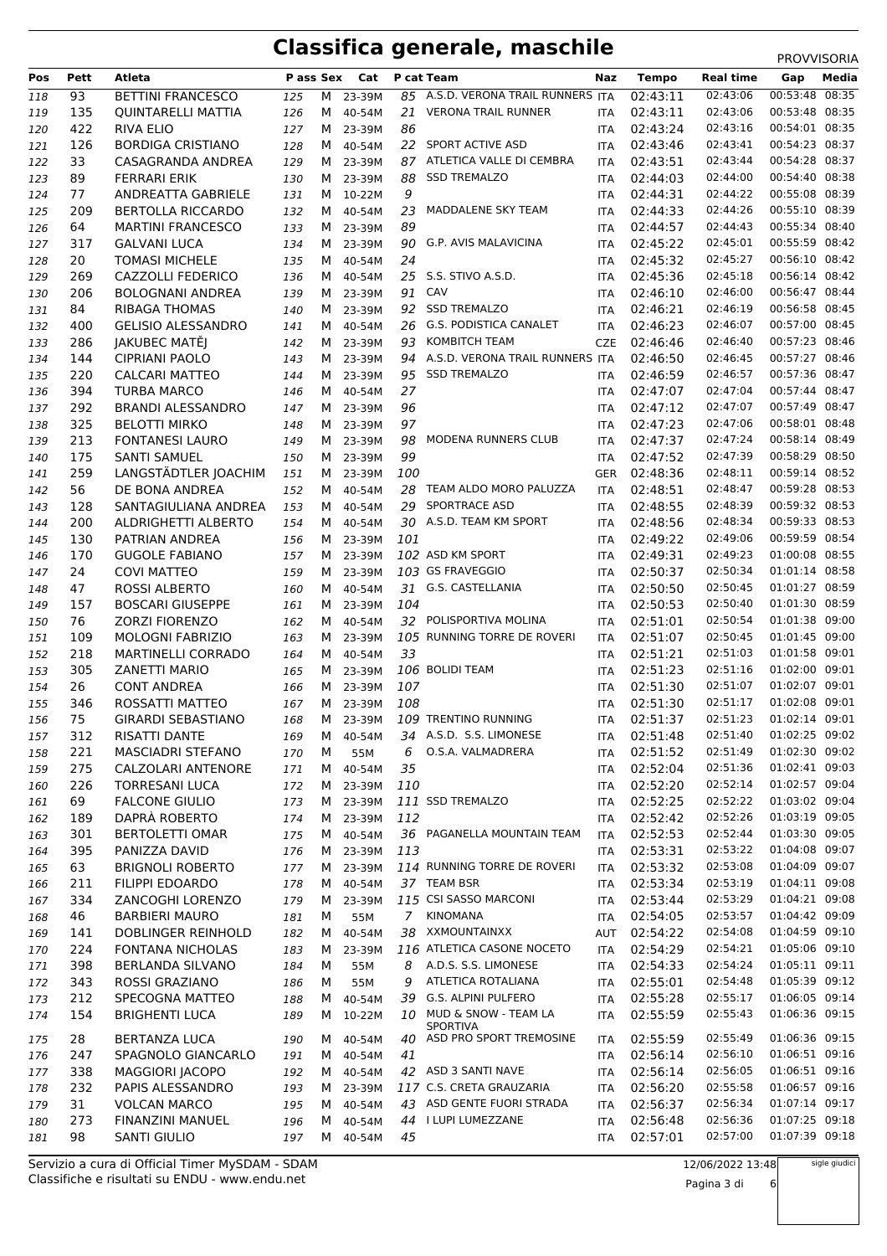| Pos | Pett | Atleta                    | P ass Sex |   | Cat      |                | P cat Team                              | Naz        | <b>Tempo</b> | <b>Real time</b> | Gap            | Media |
|-----|------|---------------------------|-----------|---|----------|----------------|-----------------------------------------|------------|--------------|------------------|----------------|-------|
| 118 | 93   | <b>BETTINI FRANCESCO</b>  | 125       | м | 23-39M   |                | 85 A.S.D. VERONA TRAIL RUNNERS ITA      |            | 02:43:11     | 02:43:06         | 00:53:48       | 08:35 |
| 119 | 135  | <b>QUINTARELLI MATTIA</b> | 126       | M | 40-54M   | 21             | <b>VERONA TRAIL RUNNER</b>              | <b>ITA</b> | 02:43:11     | 02:43:06         | 00:53:48 08:35 |       |
| 120 | 422  | <b>RIVA ELIO</b>          | 127       |   | M 23-39M | 86             |                                         | <b>ITA</b> | 02:43:24     | 02:43:16         | 00:54:01 08:35 |       |
| 121 | 126  | <b>BORDIGA CRISTIANO</b>  | 128       |   | M 40-54M |                | 22 SPORT ACTIVE ASD                     | <b>ITA</b> | 02:43:46     | 02:43:41         | 00:54:23 08:37 |       |
| 122 | 33   | CASAGRANDA ANDREA         | 129       |   | M 23-39M | 87             | ATLETICA VALLE DI CEMBRA                | <b>ITA</b> | 02:43:51     | 02:43:44         | 00:54:28 08:37 |       |
| 123 | 89   | <b>FERRARI ERIK</b>       | 130       |   | M 23-39M | 88             | <b>SSD TREMALZO</b>                     | <b>ITA</b> | 02:44:03     | 02:44:00         | 00:54:40 08:38 |       |
| 124 | 77   | ANDREATTA GABRIELE        | 131       |   | M 10-22M | 9              |                                         | <b>ITA</b> | 02:44:31     | 02:44:22         | 00:55:08 08:39 |       |
|     |      |                           |           |   |          |                | MADDALENE SKY TEAM                      |            |              |                  | 00:55:10 08:39 |       |
| 125 | 209  | <b>BERTOLLA RICCARDO</b>  | 132       | M | 40-54M   | 23             |                                         | <b>ITA</b> | 02:44:33     | 02:44:26         |                |       |
| 126 | 64   | <b>MARTINI FRANCESCO</b>  | 133       |   | M 23-39M | 89             |                                         | <b>ITA</b> | 02:44:57     | 02:44:43         | 00:55:34 08:40 |       |
| 127 | 317  | <b>GALVANI LUCA</b>       | 134       |   | M 23-39M | 90             | <b>G.P. AVIS MALAVICINA</b>             | <b>ITA</b> | 02:45:22     | 02:45:01         | 00:55:59 08:42 |       |
| 128 | 20   | <b>TOMASI MICHELE</b>     | 135       | M | 40-54M   | 24             |                                         | <b>ITA</b> | 02:45:32     | 02:45:27         | 00:56:10 08:42 |       |
| 129 | 269  | CAZZOLLI FEDERICO         | 136       | м | 40-54M   | 25             | S.S. STIVO A.S.D.                       | <b>ITA</b> | 02:45:36     | 02:45:18         | 00:56:14 08:42 |       |
| 130 | 206  | <b>BOLOGNANI ANDREA</b>   | 139       |   | M 23-39M | 91             | CAV                                     | <b>ITA</b> | 02:46:10     | 02:46:00         | 00:56:47 08:44 |       |
| 131 | 84   | <b>RIBAGA THOMAS</b>      | 140       |   | M 23-39M | 92             | <b>SSD TREMALZO</b>                     | <b>ITA</b> | 02:46:21     | 02:46:19         | 00:56:58 08:45 |       |
| 132 | 400  | <b>GELISIO ALESSANDRO</b> | 141       | M | 40-54M   | 26             | <b>G.S. PODISTICA CANALET</b>           | <b>ITA</b> | 02:46:23     | 02:46:07         | 00:57:00 08:45 |       |
| 133 | 286  | JAKUBEC MATĚJ             | 142       |   | M 23-39M | 93             | <b>KOMBITCH TEAM</b>                    | <b>CZE</b> | 02:46:46     | 02:46:40         | 00:57:23 08:46 |       |
|     |      |                           |           |   |          |                | 94 A.S.D. VERONA TRAIL RUNNERS ITA      |            | 02:46:50     | 02:46:45         | 00:57:27 08:46 |       |
| 134 | 144  | <b>CIPRIANI PAOLO</b>     | 143       |   | M 23-39M |                |                                         |            |              |                  | 00:57:36 08:47 |       |
| 135 | 220  | CALCARI MATTEO            | 144       |   | M 23-39M |                | 95 SSD TREMALZO                         | <b>ITA</b> | 02:46:59     | 02:46:57         |                |       |
| 136 | 394  | <b>TURBA MARCO</b>        | 146       |   | M 40-54M | 27             |                                         | <b>ITA</b> | 02:47:07     | 02:47:04         | 00:57:44 08:47 |       |
| 137 | 292  | <b>BRANDI ALESSANDRO</b>  | 147       |   | M 23-39M | 96             |                                         | <b>ITA</b> | 02:47:12     | 02:47:07         | 00:57:49 08:47 |       |
| 138 | 325  | <b>BELOTTI MIRKO</b>      | 148       |   | M 23-39M | 97             |                                         | <b>ITA</b> | 02:47:23     | 02:47:06         | 00:58:01 08:48 |       |
| 139 | 213  | <b>FONTANESI LAURO</b>    | 149       |   | M 23-39M | 98             | MODENA RUNNERS CLUB                     | <b>ITA</b> | 02:47:37     | 02:47:24         | 00:58:14 08:49 |       |
| 140 | 175  | <b>SANTI SAMUEL</b>       | 150       |   | M 23-39M | 99             |                                         | <b>ITA</b> | 02:47:52     | 02:47:39         | 00:58:29 08:50 |       |
| 141 | 259  | LANGSTÄDTLER JOACHIM      | 151       | М | 23-39M   | 100            |                                         | <b>GER</b> | 02:48:36     | 02:48:11         | 00:59:14 08:52 |       |
| 142 | 56   | DE BONA ANDREA            | 152       |   | M 40-54M |                | 28 TEAM ALDO MORO PALUZZA               | <b>ITA</b> | 02:48:51     | 02:48:47         | 00:59:28 08:53 |       |
|     | 128  | SANTAGIULIANA ANDREA      |           |   |          | 29             | <b>SPORTRACE ASD</b>                    |            | 02:48:55     | 02:48:39         | 00:59:32 08:53 |       |
| 143 |      |                           | 153       |   | M 40-54M |                |                                         | <b>ITA</b> |              |                  |                |       |
| 144 | 200  | ALDRIGHETTI ALBERTO       | 154       | M | 40-54M   |                | 30 A.S.D. TEAM KM SPORT                 | <b>ITA</b> | 02:48:56     | 02:48:34         | 00:59:33 08:53 |       |
| 145 | 130  | PATRIAN ANDREA            | 156       |   | M 23-39M | 101            |                                         | <b>ITA</b> | 02:49:22     | 02:49:06         | 00:59:59 08:54 |       |
| 146 | 170  | <b>GUGOLE FABIANO</b>     | 157       |   | M 23-39M |                | 102 ASD KM SPORT                        | <b>ITA</b> | 02:49:31     | 02:49:23         | 01:00:08 08:55 |       |
| 147 | 24   | <b>COVI MATTEO</b>        | 159       | M | 23-39M   |                | 103 GS FRAVEGGIO                        | <b>ITA</b> | 02:50:37     | 02:50:34         | 01:01:14 08:58 |       |
| 148 | 47   | <b>ROSSI ALBERTO</b>      | 160       |   | M 40-54M |                | 31 G.S. CASTELLANIA                     | <b>ITA</b> | 02:50:50     | 02:50:45         | 01:01:27 08:59 |       |
| 149 | 157  | <b>BOSCARI GIUSEPPE</b>   | 161       |   | M 23-39M | 104            |                                         | <b>ITA</b> | 02:50:53     | 02:50:40         | 01:01:30 08:59 |       |
| 150 | 76   | <b>ZORZI FIORENZO</b>     | 162       | М | 40-54M   |                | 32 POLISPORTIVA MOLINA                  | <b>ITA</b> | 02:51:01     | 02:50:54         | 01:01:38 09:00 |       |
| 151 | 109  | <b>MOLOGNI FABRIZIO</b>   | 163       |   | M 23-39M |                | 105 RUNNING TORRE DE ROVERI             | <b>ITA</b> | 02:51:07     | 02:50:45         | 01:01:45 09:00 |       |
| 152 | 218  | MARTINELLI CORRADO        | 164       | M | 40-54M   | 33             |                                         | <b>ITA</b> | 02:51:21     | 02:51:03         | 01:01:58 09:01 |       |
|     | 305  | ZANETTI MARIO             |           | M | 23-39M   |                | 106 BOLIDI TEAM                         | <b>ITA</b> | 02:51:23     | 02:51:16         | 01:02:00 09:01 |       |
| 153 |      |                           | 165       |   |          |                |                                         |            |              |                  |                |       |
| 154 | 26   | <b>CONT ANDREA</b>        | 166       |   | M 23-39M | 107            |                                         | <b>ITA</b> | 02:51:30     | 02:51:07         | 01:02:07 09:01 |       |
| 155 | 346  | ROSSATTI MATTEO           | 167       | M | 23-39M   | 108            |                                         | <b>ITA</b> | 02:51:30     | 02:51:17         | 01:02:08 09:01 |       |
| 156 | 75   | <b>GIRARDI SEBASTIANO</b> | 168       | M | 23-39M   |                | 109 TRENTINO RUNNING                    | <b>ITA</b> | 02:51:37     | 02:51:23         | 01:02:14 09:01 |       |
| 157 | 312  | RISATTI DANTE             | 169       | M | 40-54M   |                | 34 A.S.D. S.S. LIMONESE                 | ITA        | 02:51:48     | 02:51:40         | 01:02:25 09:02 |       |
| 158 | 221  | <b>MASCIADRI STEFANO</b>  | 170       | М | 55M      | 6              | O.S.A. VALMADRERA                       | ITA        | 02:51:52     | 02:51:49         | 01:02:30 09:02 |       |
| 159 | 275  | CALZOLARI ANTENORE        | 171       | M | 40-54M   | 35             |                                         | <b>ITA</b> | 02:52:04     | 02:51:36         | 01:02:41 09:03 |       |
| 160 | 226  | <b>TORRESANI LUCA</b>     | 172       |   | M 23-39M | 110            |                                         | ITA        | 02:52:20     | 02:52:14         | 01:02:57 09:04 |       |
| 161 | 69   | <b>FALCONE GIULIO</b>     | 173       |   | M 23-39M |                | 111 SSD TREMALZO                        | ITA        | 02:52:25     | 02:52:22         | 01:03:02 09:04 |       |
| 162 | 189  | DAPRÀ ROBERTO             | 174       |   | M 23-39M | 112            |                                         | ITA        | 02:52:42     | 02:52:26         | 01:03:19 09:05 |       |
|     |      | <b>BERTOLETTI OMAR</b>    |           |   |          |                |                                         |            |              | 02:52:44         | 01:03:30 09:05 |       |
| 163 | 301  |                           | 175       |   | M 40-54M |                | 36 PAGANELLA MOUNTAIN TEAM              | ITA        | 02:52:53     |                  |                |       |
| 164 | 395  | PANIZZA DAVID             | 176       |   | M 23-39M | 113            |                                         | ITA        | 02:53:31     | 02:53:22         | 01:04:08 09:07 |       |
| 165 | 63   | <b>BRIGNOLI ROBERTO</b>   | 177       |   | M 23-39M |                | 114 RUNNING TORRE DE ROVERI             | <b>ITA</b> | 02:53:32     | 02:53:08         | 01:04:09 09:07 |       |
| 166 | 211  | <b>FILIPPI EDOARDO</b>    | 178       |   | M 40-54M |                | 37 TEAM BSR                             | ITA        | 02:53:34     | 02:53:19         | 01:04:11 09:08 |       |
| 167 | 334  | ZANCOGHI LORENZO          | 179       |   | M 23-39M |                | 115 CSI SASSO MARCONI                   | ITA        | 02:53:44     | 02:53:29         | 01:04:21 09:08 |       |
| 168 | 46   | <b>BARBIERI MAURO</b>     | 181       | м | 55M      | $\overline{7}$ | KINOMANA                                | ITA        | 02:54:05     | 02:53:57         | 01:04:42 09:09 |       |
| 169 | 141  | DOBLINGER REINHOLD        | 182       |   | M 40-54M |                | 38 XXMOUNTAINXX                         | AUT        | 02:54:22     | 02:54:08         | 01:04:59 09:10 |       |
| 170 | 224  | <b>FONTANA NICHOLAS</b>   | 183       | M | 23-39M   |                | 116 ATLETICA CASONE NOCETO              | ITA        | 02:54:29     | 02:54:21         | 01:05:06 09:10 |       |
| 171 | 398  | <b>BERLANDA SILVANO</b>   | 184       | М | 55M      | 8              | A.D.S. S.S. LIMONESE                    | ITA        | 02:54:33     | 02:54:24         | 01:05:11 09:11 |       |
|     | 343  | ROSSI GRAZIANO            |           |   |          | 9              | ATLETICA ROTALIANA                      |            | 02:55:01     | 02:54:48         | 01:05:39 09:12 |       |
| 172 |      |                           | 186       | м | 55M      |                |                                         | <b>ITA</b> |              |                  |                |       |
| 173 | 212  | SPECOGNA MATTEO           | 188       |   | M 40-54M | 39             | G.S. ALPINI PULFERO                     | ITA        | 02:55:28     | 02:55:17         | 01:06:05 09:14 |       |
| 174 | 154  | <b>BRIGHENTI LUCA</b>     | 189       |   | M 10-22M | 10             | MUD & SNOW - TEAM LA<br><b>SPORTIVA</b> | ITA        | 02:55:59     | 02:55:43         | 01:06:36 09:15 |       |
| 175 | 28   | <b>BERTANZA LUCA</b>      | 190       |   | M 40-54M | 40             | ASD PRO SPORT TREMOSINE                 | <b>ITA</b> | 02:55:59     | 02:55:49         | 01:06:36 09:15 |       |
|     | 247  | SPAGNOLO GIANCARLO        |           | M | 40-54M   | 41             |                                         | ITA        | 02:56:14     | 02:56:10         | 01:06:51 09:16 |       |
| 176 |      |                           | 191       |   |          |                |                                         |            |              |                  |                |       |
| 177 | 338  | <b>MAGGIORI JACOPO</b>    | 192       |   | M 40-54M |                | 42 ASD 3 SANTI NAVE                     | <b>ITA</b> | 02:56:14     | 02:56:05         | 01:06:51 09:16 |       |
| 178 | 232  | PAPIS ALESSANDRO          | 193       |   | M 23-39M |                | 117 C.S. CRETA GRAUZARIA                | ITA        | 02:56:20     | 02:55:58         | 01:06:57 09:16 |       |
| 179 | 31   | <b>VOLCAN MARCO</b>       | 195       | M | 40-54M   |                | 43 ASD GENTE FUORI STRADA               | ITA        | 02:56:37     | 02:56:34         | 01:07:14 09:17 |       |
| 180 | 273  | FINANZINI MANUEL          | 196       | M | 40-54M   |                | 44 I LUPI LUMEZZANE                     | <b>ITA</b> | 02:56:48     | 02:56:36         | 01:07:25 09:18 |       |
| 181 | 98   | <b>SANTI GIULIO</b>       | 197       |   | M 40-54M | 45             |                                         | ITA        | 02:57:01     | 02:57:00         | 01:07:39 09:18 |       |

Classifiche e risultati su ENDU - www.endu.net Servizio a cura di Official Timer MySDAM - SDAM

Pagina 3 di 6

sigle giudici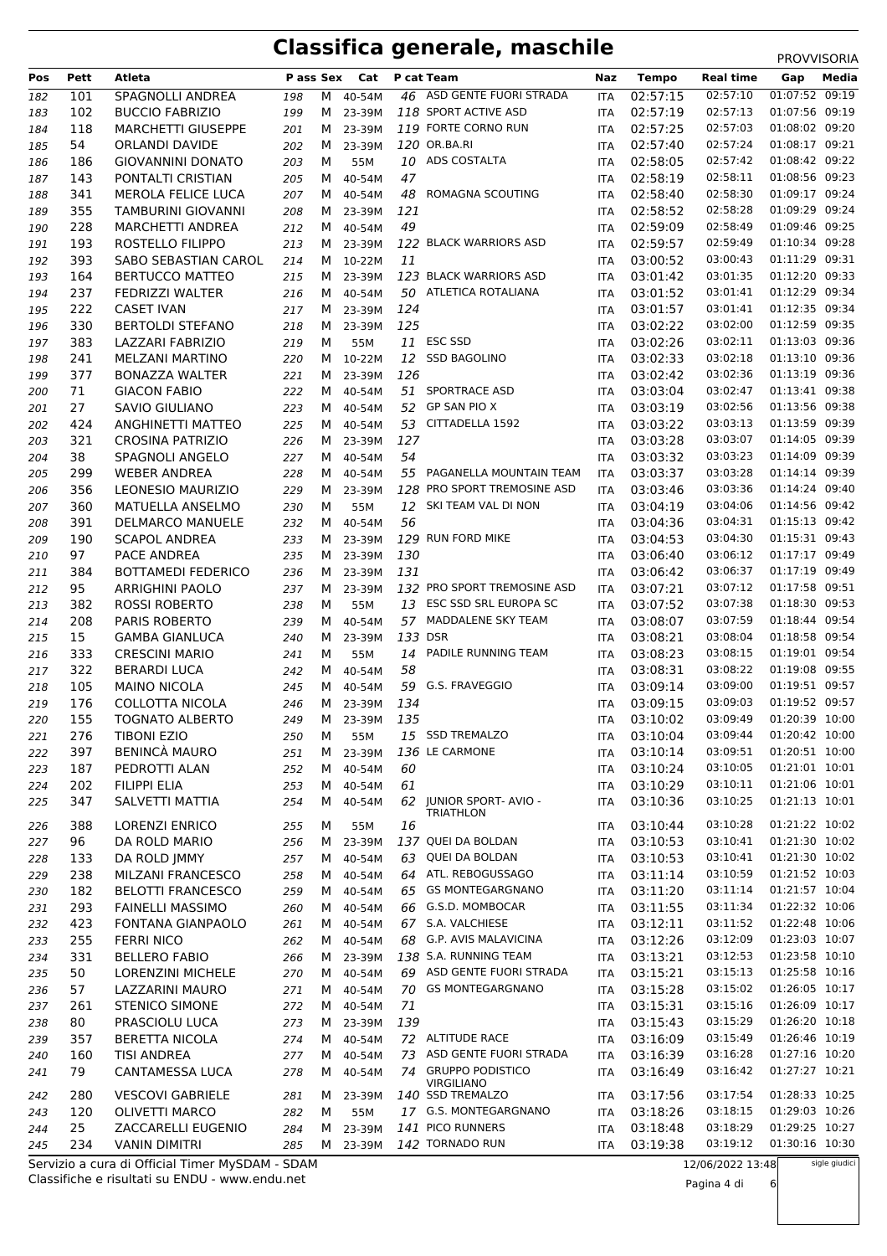| Pos        | Pett       | Atleta                                           | P ass Sex  |        | Cat                |         | <b>P</b> cat Team                                       | Naz                      | <b>Tempo</b>         | <b>Real time</b>     | Gap                              | Media |
|------------|------------|--------------------------------------------------|------------|--------|--------------------|---------|---------------------------------------------------------|--------------------------|----------------------|----------------------|----------------------------------|-------|
| 182        | 101        | <b>SPAGNOLLI ANDREA</b>                          | 198        | M      | 40-54M             |         | 46 ASD GENTE FUORI STRADA                               | <b>ITA</b>               | 02:57:15             | 02:57:10             | 01:07:52 09:19                   |       |
| 183        | 102        | <b>BUCCIO FABRIZIO</b>                           | 199        |        | M 23-39M           |         | 118 SPORT ACTIVE ASD                                    | <b>ITA</b>               | 02:57:19             | 02:57:13             | 01:07:56 09:19                   |       |
| 184        | 118        | <b>MARCHETTI GIUSEPPE</b>                        | 201        |        | M 23-39M           |         | 119 FORTE CORNO RUN                                     | <b>ITA</b>               | 02:57:25             | 02:57:03             | 01:08:02 09:20                   |       |
| 185        | 54         | <b>ORLANDI DAVIDE</b>                            | 202        |        | M 23-39M           |         | 120 OR.BA.RI                                            | <b>ITA</b>               | 02:57:40             | 02:57:24             | 01:08:17 09:21                   |       |
| 186        | 186        | <b>GIOVANNINI DONATO</b>                         | 203        | м      | 55M                |         | 10 ADS COSTALTA                                         | <b>ITA</b>               | 02:58:05             | 02:57:42             | 01:08:42 09:22                   |       |
| 187        | 143        | PONTALTI CRISTIAN                                | 205        | M      | 40-54M             | 47      |                                                         | <b>ITA</b>               | 02:58:19             | 02:58:11             | 01:08:56 09:23                   |       |
| 188        | 341        | <b>MEROLA FELICE LUCA</b>                        | 207        | M      | 40-54M             | 48      | ROMAGNA SCOUTING                                        | <b>ITA</b>               | 02:58:40             | 02:58:30             | 01:09:17 09:24                   |       |
| 189        | 355        | TAMBURINI GIOVANNI                               | 208        | M      | 23-39M             | 121     |                                                         | <b>ITA</b>               | 02:58:52             | 02:58:28             | 01:09:29 09:24                   |       |
| 190        | 228        | <b>MARCHETTI ANDREA</b>                          | 212        | M      | 40-54M             | 49      |                                                         | <b>ITA</b>               | 02:59:09             | 02:58:49             | 01:09:46 09:25                   |       |
| 191        | 193        | ROSTELLO FILIPPO                                 | 213        | M      | 23-39M             |         | 122 BLACK WARRIORS ASD                                  | <b>ITA</b>               | 02:59:57             | 02:59:49             | 01:10:34 09:28<br>01:11:29 09:31 |       |
| 192        | 393        | SABO SEBASTIAN CAROL                             | 214        |        | M 10-22M           | 11      | 123 BLACK WARRIORS ASD                                  | <b>ITA</b>               | 03:00:52             | 03:00:43<br>03:01:35 | 01:12:20 09:33                   |       |
| 193<br>194 | 164<br>237 | <b>BERTUCCO MATTEO</b><br><b>FEDRIZZI WALTER</b> | 215<br>216 | M      | M 23-39M<br>40-54M |         | 50 ATLETICA ROTALIANA                                   | <b>ITA</b><br><b>ITA</b> | 03:01:42<br>03:01:52 | 03:01:41             | 01:12:29 09:34                   |       |
| 195        | 222        | <b>CASET IVAN</b>                                | 217        |        | M 23-39M           | 124     |                                                         | <b>ITA</b>               | 03:01:57             | 03:01:41             | 01:12:35 09:34                   |       |
| 196        | 330        | <b>BERTOLDI STEFANO</b>                          | 218        |        | M 23-39M           | 125     |                                                         | <b>ITA</b>               | 03:02:22             | 03:02:00             | 01:12:59 09:35                   |       |
| 197        | 383        | LAZZARI FABRIZIO                                 | 219        | м      | 55M                |         | 11 ESC SSD                                              | ITA                      | 03:02:26             | 03:02:11             | 01:13:03 09:36                   |       |
| 198        | 241        | <b>MELZANI MARTINO</b>                           | 220        |        | M 10-22M           |         | 12 SSD BAGOLINO                                         | <b>ITA</b>               | 03:02:33             | 03:02:18             | 01:13:10 09:36                   |       |
| 199        | 377        | <b>BONAZZA WALTER</b>                            | 221        |        | M 23-39M           | 126     |                                                         | <b>ITA</b>               | 03:02:42             | 03:02:36             | 01:13:19 09:36                   |       |
| 200        | 71         | <b>GIACON FABIO</b>                              | 222        | M      | 40-54M             | 51      | <b>SPORTRACE ASD</b>                                    | ITA                      | 03:03:04             | 03:02:47             | 01:13:41 09:38                   |       |
| 201        | 27         | <b>SAVIO GIULIANO</b>                            | 223        | M      | 40-54M             |         | 52 GP SAN PIO X                                         | <b>ITA</b>               | 03:03:19             | 03:02:56             | 01:13:56 09:38                   |       |
| 202        | 424        | ANGHINETTI MATTEO                                | 225        | M      | 40-54M             | 53      | CITTADELLA 1592                                         | <b>ITA</b>               | 03:03:22             | 03:03:13             | 01:13:59 09:39                   |       |
| 203        | 321        | <b>CROSINA PATRIZIO</b>                          | 226        | M      | 23-39M             | 127     |                                                         | ITA                      | 03:03:28             | 03:03:07             | 01:14:05 09:39                   |       |
| 204        | 38         | SPAGNOLI ANGELO                                  | 227        | M      | 40-54M             | 54      |                                                         | <b>ITA</b>               | 03:03:32             | 03:03:23             | 01:14:09 09:39                   |       |
| 205        | 299        | <b>WEBER ANDREA</b>                              | 228        | M      | 40-54M             |         | 55 PAGANELLA MOUNTAIN TEAM                              | <b>ITA</b>               | 03:03:37             | 03:03:28             | 01:14:14 09:39                   |       |
| 206        | 356        | LEONESIO MAURIZIO                                | 229        | M      | 23-39M             |         | 128 PRO SPORT TREMOSINE ASD                             | <b>ITA</b>               | 03:03:46             | 03:03:36             | 01:14:24 09:40                   |       |
| 207        | 360        | MATUELLA ANSELMO                                 | 230        | м      | 55M                |         | 12 SKI TEAM VAL DI NON                                  | <b>ITA</b>               | 03:04:19             | 03:04:06             | 01:14:56 09:42                   |       |
| 208        | 391        | <b>DELMARCO MANUELE</b>                          | 232        |        | M 40-54M           | 56      |                                                         | <b>ITA</b>               | 03:04:36             | 03:04:31             | 01:15:13 09:42                   |       |
| 209        | 190        | <b>SCAPOL ANDREA</b>                             | 233        |        | M 23-39M           |         | 129 RUN FORD MIKE                                       | ITA                      | 03:04:53             | 03:04:30             | 01:15:31 09:43                   |       |
| 210        | 97         | PACE ANDREA                                      | 235        |        | M 23-39M           | 130     |                                                         | ITA                      | 03:06:40             | 03:06:12             | 01:17:17 09:49                   |       |
| 211        | 384        | <b>BOTTAMEDI FEDERICO</b>                        | 236        |        | M 23-39M           | 131     |                                                         | <b>ITA</b>               | 03:06:42             | 03:06:37             | 01:17:19 09:49                   |       |
| 212        | 95<br>382  | <b>ARRIGHINI PAOLO</b><br>ROSSI ROBERTO          | 237        | M      | 23-39M<br>55M      |         | 132 PRO SPORT TREMOSINE ASD<br>13 ESC SSD SRL EUROPA SC | <b>ITA</b>               | 03:07:21<br>03:07:52 | 03:07:12<br>03:07:38 | 01:17:58 09:51<br>01:18:30 09:53 |       |
| 213<br>214 | 208        | <b>PARIS ROBERTO</b>                             | 238<br>239 | м<br>M | 40-54M             |         | 57 MADDALENE SKY TEAM                                   | <b>ITA</b><br><b>ITA</b> | 03:08:07             | 03:07:59             | 01:18:44 09:54                   |       |
| 215        | 15         | <b>GAMBA GIANLUCA</b>                            | 240        | M      | 23-39M             | 133 DSR |                                                         | <b>ITA</b>               | 03:08:21             | 03:08:04             | 01:18:58 09:54                   |       |
| 216        | 333        | <b>CRESCINI MARIO</b>                            | 241        | м      | 55M                | 14      | PADILE RUNNING TEAM                                     | <b>ITA</b>               | 03:08:23             | 03:08:15             | 01:19:01 09:54                   |       |
| 217        | 322        | <b>BERARDI LUCA</b>                              | 242        | M      | 40-54M             | 58      |                                                         | <b>ITA</b>               | 03:08:31             | 03:08:22             | 01:19:08 09:55                   |       |
| 218        | 105        | <b>MAINO NICOLA</b>                              | 245        | M      | 40-54M             |         | 59 G.S. FRAVEGGIO                                       | <b>ITA</b>               | 03:09:14             | 03:09:00             | 01:19:51 09:57                   |       |
| 219        | 176        | <b>COLLOTTA NICOLA</b>                           | 246        | M      | 23-39M             | 134     |                                                         | <b>ITA</b>               | 03:09:15             | 03:09:03             | 01:19:52 09:57                   |       |
| 220        | 155        | <b>TOGNATO ALBERTO</b>                           | 249        |        | M 23-39M           | 135     |                                                         | <b>ITA</b>               | 03:10:02             | 03:09:49             | 01:20:39 10:00                   |       |
| 221        | 276        | <b>TIBONI EZIO</b>                               | 250        | M      | 55M                |         | 15 SSD TREMALZO                                         | ITA                      | 03:10:04             | 03:09:44             | 01:20:42 10:00                   |       |
| 222        | 397        | <b>BENINCÀ MAURO</b>                             | 251        | M      | 23-39M             |         | 136 LE CARMONE                                          | ITA                      | 03:10:14             | 03:09:51             | 01:20:51 10:00                   |       |
| 223        | 187        | PEDROTTI ALAN                                    | 252        | M      | 40-54M             | 60      |                                                         | ITA                      | 03:10:24             | 03:10:05             | 01:21:01 10:01                   |       |
| 224        | 202        | <b>FILIPPI ELIA</b>                              | 253        | M      | 40-54M             | 61      |                                                         | <b>ITA</b>               | 03:10:29             | 03:10:11             | 01:21:06 10:01                   |       |
| 225        | 347        | SALVETTI MATTIA                                  | 254        | M      | 40-54M             |         | 62 JUNIOR SPORT- AVIO -<br>TRIATHLON                    | ITA                      | 03:10:36             | 03:10:25             | 01:21:13 10:01                   |       |
| 226        | 388        | <b>LORENZI ENRICO</b>                            | 255        | м      | 55M                | 16      |                                                         | ITA                      | 03:10:44             | 03:10:28             | 01:21:22 10:02                   |       |
| 227        | 96         | DA ROLD MARIO                                    | 256        |        | M 23-39M           |         | 137 QUEI DA BOLDAN                                      | ITA                      | 03:10:53             | 03:10:41             | 01:21:30 10:02                   |       |
| 228        | 133        | DA ROLD JMMY                                     | 257        | M      | 40-54M             |         | 63 QUEI DA BOLDAN                                       | <b>ITA</b>               | 03:10:53             | 03:10:41             | 01:21:30 10:02                   |       |
| 229        | 238        | MILZANI FRANCESCO                                | 258        | M      | 40-54M             |         | 64 ATL. REBOGUSSAGO                                     | ITA                      | 03:11:14             | 03:10:59             | 01:21:52 10:03                   |       |
| 230        | 182        | <b>BELOTTI FRANCESCO</b>                         | 259        | M      | 40-54M             |         | 65 GS MONTEGARGNANO                                     | ITA                      | 03:11:20             | 03:11:14             | 01:21:57 10:04                   |       |
| 231        | 293        | <b>FAINELLI MASSIMO</b>                          | 260        | M      | 40-54M             |         | 66 G.S.D. MOMBOCAR                                      | <b>ITA</b>               | 03:11:55             | 03:11:34             | 01:22:32 10:06                   |       |
| 232        | 423        | FONTANA GIANPAOLO                                | 261        | M      | 40-54M             |         | 67 S.A. VALCHIESE                                       | <b>ITA</b>               | 03:12:11             | 03:11:52             | 01:22:48 10:06                   |       |
| 233        | 255        | <b>FERRI NICO</b>                                | 262        |        | M 40-54M           |         | 68 G.P. AVIS MALAVICINA                                 | ITA                      | 03:12:26             | 03:12:09             | 01:23:03 10:07                   |       |
| 234        | 331        | <b>BELLERO FABIO</b>                             | 266        |        | M 23-39M           |         | 138 S.A. RUNNING TEAM                                   | <b>ITA</b>               | 03:13:21             | 03:12:53             | 01:23:58 10:10                   |       |
| 235        | 50         | <b>LORENZINI MICHELE</b>                         | 270        | M      | 40-54M             |         | 69 ASD GENTE FUORI STRADA                               | ITA                      | 03:15:21             | 03:15:13             | 01:25:58 10:16                   |       |
| 236        | 57         | LAZZARINI MAURO                                  | 271        | M      | 40-54M             | 70      | <b>GS MONTEGARGNANO</b>                                 | ITA                      | 03:15:28             | 03:15:02             | 01:26:05 10:17                   |       |
| 237        | 261        | <b>STENICO SIMONE</b>                            | 272        | M      | 40-54M             | 71      |                                                         | <b>ITA</b>               | 03:15:31             | 03:15:16             | 01:26:09 10:17                   |       |
| 238        | 80         | PRASCIOLU LUCA                                   | 273        | M      | 23-39M             | 139     |                                                         | <b>ITA</b>               | 03:15:43             | 03:15:29             | 01:26:20 10:18                   |       |
| 239        | 357        | <b>BERETTA NICOLA</b>                            | 274        | M      | 40-54M             |         | 72 ALTITUDE RACE                                        | ITA                      | 03:16:09             | 03:15:49             | 01:26:46 10:19                   |       |
| 240        | 160        | <b>TISI ANDREA</b>                               | 277        | M      | 40-54M             | 73      | ASD GENTE FUORI STRADA<br>74 GRUPPO PODISTICO           | <b>ITA</b>               | 03:16:39             | 03:16:28<br>03:16:42 | 01:27:16 10:20<br>01:27:27 10:21 |       |
| 241        | 79         | CANTAMESSA LUCA                                  | 278        | M      | 40-54M             |         | VIRGILIANO                                              | ITA                      | 03:16:49             |                      |                                  |       |
| 242        | 280        | <b>VESCOVI GABRIELE</b>                          | 281        |        | M 23-39M           |         | 140 SSD TREMALZO                                        | ITA                      | 03:17:56             | 03:17:54             | 01:28:33 10:25                   |       |
| 243        | 120        | <b>OLIVETTI MARCO</b>                            | 282        | М      | 55M                |         | 17 G.S. MONTEGARGNANO                                   | <b>ITA</b>               | 03:18:26             | 03:18:15             | 01:29:03 10:26                   |       |
| 244        | 25         | ZACCARELLI EUGENIO                               | 284        |        | M 23-39M           |         | 141 PICO RUNNERS                                        | <b>ITA</b>               | 03:18:48             | 03:18:29             | 01:29:25 10:27                   |       |
| 245        | 234        | <b>VANIN DIMITRI</b>                             | 285        |        | M 23-39M           |         | 142 TORNADO RUN                                         | <b>ITA</b>               | 03:19:38             | 03:19:12             | 01:30:16 10:30                   |       |

Classifiche e risultati su ENDU - www.endu.net Servizio a cura di Official Timer MySDAM - SDAM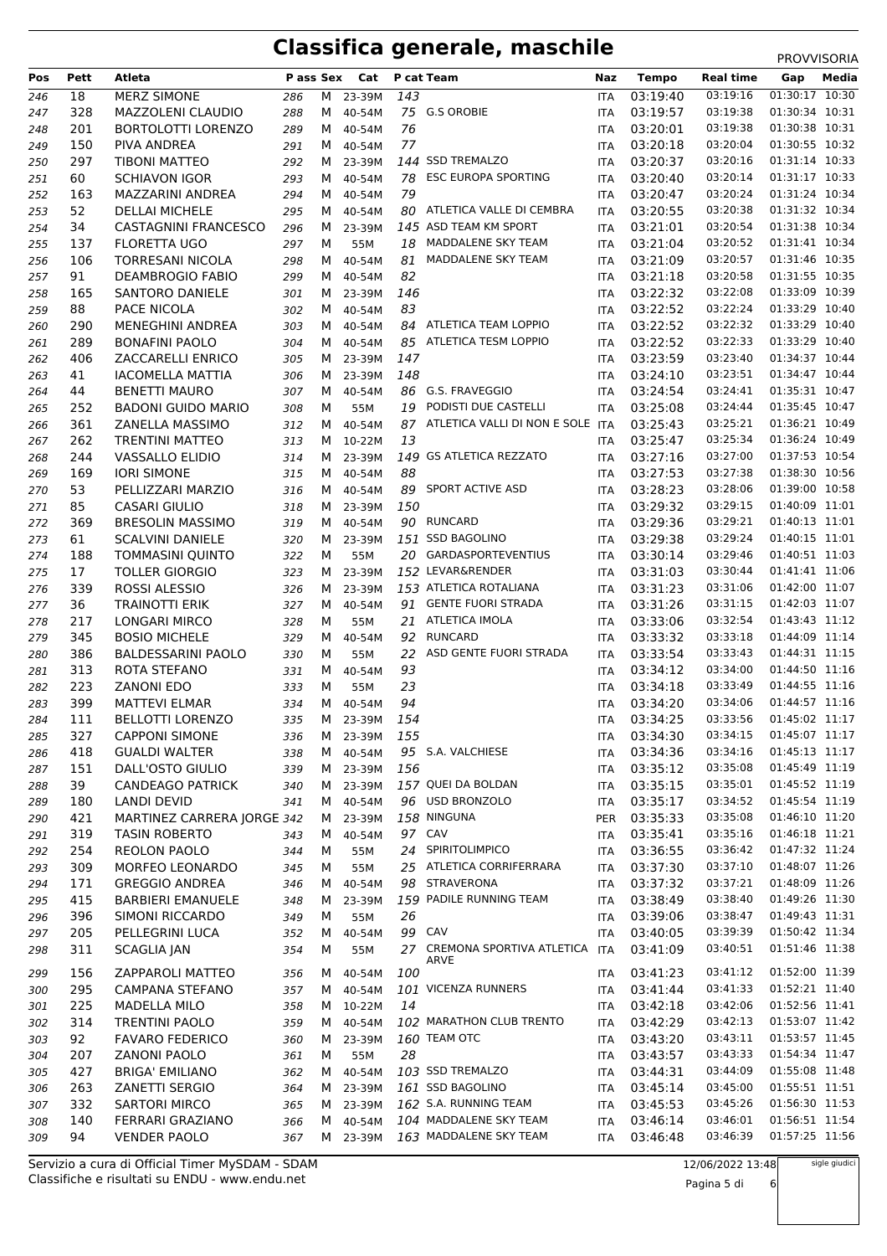| Pos        | Pett | Atleta                      | P ass Sex  |   | Cat      |     | P cat Team                               | Naz        | <b>Tempo</b> | Real time | Gap            | Media |
|------------|------|-----------------------------|------------|---|----------|-----|------------------------------------------|------------|--------------|-----------|----------------|-------|
|            |      |                             |            |   |          |     |                                          |            |              | 03:19:16  | 01:30:17       | 10:30 |
| 246        | 18   | <b>MERZ SIMONE</b>          | 286        | M | 23-39M   | 143 |                                          | <b>ITA</b> | 03:19:40     |           |                |       |
| 247        | 328  | <b>MAZZOLENI CLAUDIO</b>    | 288        | M | 40-54M   |     | 75 G.S OROBIE                            | <b>ITA</b> | 03:19:57     | 03:19:38  | 01:30:34 10:31 |       |
| 248        | 201  | <b>BORTOLOTTI LORENZO</b>   | 289        | M | 40-54M   | 76  |                                          | ITA        | 03:20:01     | 03:19:38  | 01:30:38 10:31 |       |
| 249        | 150  | PIVA ANDREA                 | 291        | M | 40-54M   | 77  |                                          | <b>ITA</b> | 03:20:18     | 03:20:04  | 01:30:55 10:32 |       |
| 250        | 297  | <b>TIBONI MATTEO</b>        | 292        | M | 23-39M   |     | 144 SSD TREMALZO                         | <b>ITA</b> | 03:20:37     | 03:20:16  | 01:31:14 10:33 |       |
| 251        | 60   | <b>SCHIAVON IGOR</b>        | 293        | M | 40-54M   |     | 78 ESC EUROPA SPORTING                   | <b>ITA</b> | 03:20:40     | 03:20:14  | 01:31:17 10:33 |       |
| 252        | 163  | MAZZARINI ANDREA            | 294        | M | 40-54M   | 79  |                                          | <b>ITA</b> | 03:20:47     | 03:20:24  | 01:31:24 10:34 |       |
| 253        | 52   | <b>DELLAI MICHELE</b>       | 295        | M | 40-54M   | 80  | ATLETICA VALLE DI CEMBRA                 | <b>ITA</b> | 03:20:55     | 03:20:38  | 01:31:32 10:34 |       |
| 254        | 34   | <b>CASTAGNINI FRANCESCO</b> | 296        | M | 23-39M   |     | 145 ASD TEAM KM SPORT                    | ITA        | 03:21:01     | 03:20:54  | 01:31:38 10:34 |       |
| 255        | 137  | <b>FLORETTA UGO</b>         | 297        | М | 55M      | 18  | MADDALENE SKY TEAM                       | <b>ITA</b> | 03:21:04     | 03:20:52  | 01:31:41 10:34 |       |
| 256        | 106  | <b>TORRESANI NICOLA</b>     | 298        | М | 40-54M   | 81  | MADDALENE SKY TEAM                       | <b>ITA</b> | 03:21:09     | 03:20:57  | 01:31:46 10:35 |       |
| 257        | 91   | <b>DEAMBROGIO FABIO</b>     | 299        | M | 40-54M   | 82  |                                          | ITA        | 03:21:18     | 03:20:58  | 01:31:55 10:35 |       |
| 258        | 165  | <b>SANTORO DANIELE</b>      | 301        | M | 23-39M   | 146 |                                          | <b>ITA</b> | 03:22:32     | 03:22:08  | 01:33:09 10:39 |       |
| 259        | 88   | PACE NICOLA                 | 302        | M | 40-54M   | 83  |                                          | <b>ITA</b> | 03:22:52     | 03:22:24  | 01:33:29 10:40 |       |
| 260        | 290  | <b>MENEGHINI ANDREA</b>     | 303        | M | 40-54M   |     | 84 ATLETICA TEAM LOPPIO                  | <b>ITA</b> | 03:22:52     | 03:22:32  | 01:33:29 10:40 |       |
| 261        | 289  | <b>BONAFINI PAOLO</b>       | 304        | M | 40-54M   |     | 85 ATLETICA TESM LOPPIO                  | <b>ITA</b> | 03:22:52     | 03:22:33  | 01:33:29 10:40 |       |
| 262        | 406  | ZACCARELLI ENRICO           | 305        | M | 23-39M   | 147 |                                          | <b>ITA</b> | 03:23:59     | 03:23:40  | 01:34:37 10:44 |       |
| 263        | 41   | <b>IACOMELLA MATTIA</b>     | 306        | M | 23-39M   | 148 |                                          | ITA        | 03:24:10     | 03:23:51  | 01:34:47 10:44 |       |
| 264        | 44   | <b>BENETTI MAURO</b>        | 307        | M | 40-54M   |     | 86 G.S. FRAVEGGIO                        | <b>ITA</b> | 03:24:54     | 03:24:41  | 01:35:31 10:47 |       |
| 265        | 252  | <b>BADONI GUIDO MARIO</b>   | 308        | М | 55M      | 19  | PODISTI DUE CASTELLI                     | <b>ITA</b> | 03:25:08     | 03:24:44  | 01:35:45 10:47 |       |
| 266        | 361  | ZANELLA MASSIMO             | 312        | M | 40-54M   | 87  | ATLETICA VALLI DI NON E SOLE ITA         |            | 03:25:43     | 03:25:21  | 01:36:21 10:49 |       |
| 267        | 262  | <b>TRENTINI MATTEO</b>      | 313        | M | 10-22M   | 13  |                                          | <b>ITA</b> | 03:25:47     | 03:25:34  | 01:36:24 10:49 |       |
| 268        | 244  | <b>VASSALLO ELIDIO</b>      | 314        | м | 23-39M   |     | 149 GS ATLETICA REZZATO                  | <b>ITA</b> | 03:27:16     | 03:27:00  | 01:37:53 10:54 |       |
| 269        | 169  | <b>IORI SIMONE</b>          | 315        | M | 40-54M   | 88  |                                          | ITA        | 03:27:53     | 03:27:38  | 01:38:30 10:56 |       |
| 270        | 53   | PELLIZZARI MARZIO           | 316        | M | 40-54M   | 89  | <b>SPORT ACTIVE ASD</b>                  | <b>ITA</b> | 03:28:23     | 03:28:06  | 01:39:00 10:58 |       |
| 271        | 85   | <b>CASARI GIULIO</b>        |            | м | 23-39M   | 150 |                                          | <b>ITA</b> | 03:29:32     | 03:29:15  | 01:40:09 11:01 |       |
|            | 369  | <b>BRESOLIN MASSIMO</b>     | 318<br>319 | M | 40-54M   |     | 90 RUNCARD                               | ITA        | 03:29:36     | 03:29:21  | 01:40:13 11:01 |       |
| 272<br>273 | 61   | <b>SCALVINI DANIELE</b>     | 320        | M | 23-39M   |     | 151 SSD BAGOLINO                         | <b>ITA</b> | 03:29:38     | 03:29:24  | 01:40:15 11:01 |       |
|            | 188  | <b>TOMMASINI QUINTO</b>     |            | М |          |     | 20 GARDASPORTEVENTIUS                    |            | 03:30:14     | 03:29:46  | 01:40:51 11:03 |       |
| 274        | 17   | <b>TOLLER GIORGIO</b>       | 322        |   | 55M      |     | 152 LEVAR&RENDER                         | <b>ITA</b> | 03:31:03     | 03:30:44  | 01:41:41 11:06 |       |
| 275        |      |                             | 323        | M | 23-39M   |     |                                          | <b>ITA</b> |              |           | 01:42:00 11:07 |       |
| 276        | 339  | ROSSI ALESSIO               | 326        | M | 23-39M   |     | 153 ATLETICA ROTALIANA                   | <b>ITA</b> | 03:31:23     | 03:31:06  |                |       |
| 277        | 36   | <b>TRAINOTTI ERIK</b>       | 327        | м | 40-54M   | 91  | <b>GENTE FUORI STRADA</b>                | <b>ITA</b> | 03:31:26     | 03:31:15  | 01:42:03 11:07 |       |
| 278        | 217  | <b>LONGARI MIRCO</b>        | 328        | м | 55M      | 21  | <b>ATLETICA IMOLA</b>                    | ITA        | 03:33:06     | 03:32:54  | 01:43:43 11:12 |       |
| 279        | 345  | <b>BOSIO MICHELE</b>        | 329        | М | 40-54M   | 92  | <b>RUNCARD</b>                           | <b>ITA</b> | 03:33:32     | 03:33:18  | 01:44:09 11:14 |       |
| 280        | 386  | <b>BALDESSARINI PAOLO</b>   | 330        | м | 55M      | 22  | ASD GENTE FUORI STRADA                   | <b>ITA</b> | 03:33:54     | 03:33:43  | 01:44:31 11:15 |       |
| 281        | 313  | ROTA STEFANO                | 331        | м | 40-54M   | 93  |                                          | ITA        | 03:34:12     | 03:34:00  | 01:44:50 11:16 |       |
| 282        | 223  | <b>ZANONI EDO</b>           | 333        | м | 55M      | 23  |                                          | <b>ITA</b> | 03:34:18     | 03:33:49  | 01:44:55 11:16 |       |
| 283        | 399  | <b>MATTEVI ELMAR</b>        | 334        | M | 40-54M   | 94  |                                          | ITA        | 03:34:20     | 03:34:06  | 01:44:57 11:16 |       |
| 284        | 111  | <b>BELLOTTI LORENZO</b>     | 335        | M | 23-39M   | 154 |                                          | <b>ITA</b> | 03:34:25     | 03:33:56  | 01:45:02 11:17 |       |
| 285        | 327  | <b>CAPPONI SIMONE</b>       | 336        |   | M 23-39M | 155 |                                          | ITA        | 03:34:30     | 03:34:15  | 01:45:07 11:17 |       |
| 286        | 418  | <b>GUALDI WALTER</b>        | 338        | M | 40-54M   |     | 95 S.A. VALCHIESE                        | <b>ITA</b> | 03:34:36     | 03:34:16  | 01:45:13 11:17 |       |
| 287        | 151  | DALL'OSTO GIULIO            | 339        | M | 23-39M   | 156 |                                          | ITA        | 03:35:12     | 03:35:08  | 01:45:49 11:19 |       |
| 288        | 39   | <b>CANDEAGO PATRICK</b>     | 340        | M | 23-39M   |     | 157 QUEI DA BOLDAN                       | ITA        | 03:35:15     | 03:35:01  | 01:45:52 11:19 |       |
| 289        | 180  | <b>LANDI DEVID</b>          | 341        | M | 40-54M   |     | 96 USD BRONZOLO                          | ITA        | 03:35:17     | 03:34:52  | 01:45:54 11:19 |       |
| 290        | 421  | MARTINEZ CARRERA JORGE 342  |            | M | 23-39M   |     | 158 NINGUNA                              | PER        | 03:35:33     | 03:35:08  | 01:46:10 11:20 |       |
| 291        | 319  | <b>TASIN ROBERTO</b>        | 343        | M | 40-54M   |     | 97 CAV                                   | <b>ITA</b> | 03:35:41     | 03:35:16  | 01:46:18 11:21 |       |
| 292        | 254  | <b>REOLON PAOLO</b>         | 344        | м | 55M      |     | 24 SPIRITOLIMPICO                        | ITA        | 03:36:55     | 03:36:42  | 01:47:32 11:24 |       |
| 293        | 309  | MORFEO LEONARDO             | 345        | м | 55M      |     | 25 ATLETICA CORRIFERRARA                 | ITA        | 03:37:30     | 03:37:10  | 01:48:07 11:26 |       |
| 294        | 171  | <b>GREGGIO ANDREA</b>       | 346        | M | 40-54M   |     | 98 STRAVERONA                            | ITA        | 03:37:32     | 03:37:21  | 01:48:09 11:26 |       |
| 295        | 415  | <b>BARBIERI EMANUELE</b>    | 348        | M | 23-39M   |     | 159 PADILE RUNNING TEAM                  | ITA        | 03:38:49     | 03:38:40  | 01:49:26 11:30 |       |
| 296        | 396  | SIMONI RICCARDO             | 349        | м | 55M      | 26  |                                          | ITA        | 03:39:06     | 03:38:47  | 01:49:43 11:31 |       |
| 297        | 205  | PELLEGRINI LUCA             | 352        | M | 40-54M   |     | 99 CAV                                   | ITA        | 03:40:05     | 03:39:39  | 01:50:42 11:34 |       |
| 298        | 311  | <b>SCAGLIA JAN</b>          | 354        | М | 55M      |     | 27 CREMONA SPORTIVA ATLETICA ITA<br>ARVE |            | 03:41:09     | 03:40:51  | 01:51:46 11:38 |       |
| 299        | 156  | ZAPPAROLI MATTEO            | 356        | M | 40-54M   | 100 |                                          | <b>ITA</b> | 03:41:23     | 03:41:12  | 01:52:00 11:39 |       |
| 300        | 295  | CAMPANA STEFANO             | 357        | M | 40-54M   |     | 101 VICENZA RUNNERS                      | ITA        | 03:41:44     | 03:41:33  | 01:52:21 11:40 |       |
| 301        | 225  | MADELLA MILO                | 358        |   | M 10-22M | 14  |                                          | ITA        | 03:42:18     | 03:42:06  | 01:52:56 11:41 |       |
| 302        | 314  | <b>TRENTINI PAOLO</b>       | 359        |   | M 40-54M |     | 102 MARATHON CLUB TRENTO                 | ITA        | 03:42:29     | 03:42:13  | 01:53:07 11:42 |       |
| 303        | 92   | <b>FAVARO FEDERICO</b>      | 360        | M | 23-39M   |     | 160 TEAM OTC                             | ITA        | 03:43:20     | 03:43:11  | 01:53:57 11:45 |       |
| 304        | 207  | <b>ZANONI PAOLO</b>         | 361        | м | 55M      | 28  |                                          | ITA        | 03:43:57     | 03:43:33  | 01:54:34 11:47 |       |
| 305        | 427  | <b>BRIGA' EMILIANO</b>      | 362        |   | M 40-54M |     | 103 SSD TREMALZO                         | ITA        | 03:44:31     | 03:44:09  | 01:55:08 11:48 |       |
| 306        | 263  | ZANETTI SERGIO              | 364        | M | 23-39M   |     | 161 SSD BAGOLINO                         | <b>ITA</b> | 03:45:14     | 03:45:00  | 01:55:51 11:51 |       |
| 307        | 332  | <b>SARTORI MIRCO</b>        | 365        | M | 23-39M   |     | 162 S.A. RUNNING TEAM                    | ITA        | 03:45:53     | 03:45:26  | 01:56:30 11:53 |       |
| 308        | 140  | FERRARI GRAZIANO            | 366        | M | 40-54M   |     | 104 MADDALENE SKY TEAM                   | ITA        | 03:46:14     | 03:46:01  | 01:56:51 11:54 |       |
| 309        | 94   | <b>VENDER PAOLO</b>         | 367        |   | M 23-39M |     | 163 MADDALENE SKY TEAM                   | ITA        | 03:46:48     | 03:46:39  | 01:57:25 11:56 |       |

Classifiche e risultati su ENDU - www.endu.net Servizio a cura di Official Timer MySDAM - SDAM 12/06/2022 13:48

sigle giudici

Pagina 5 di 6